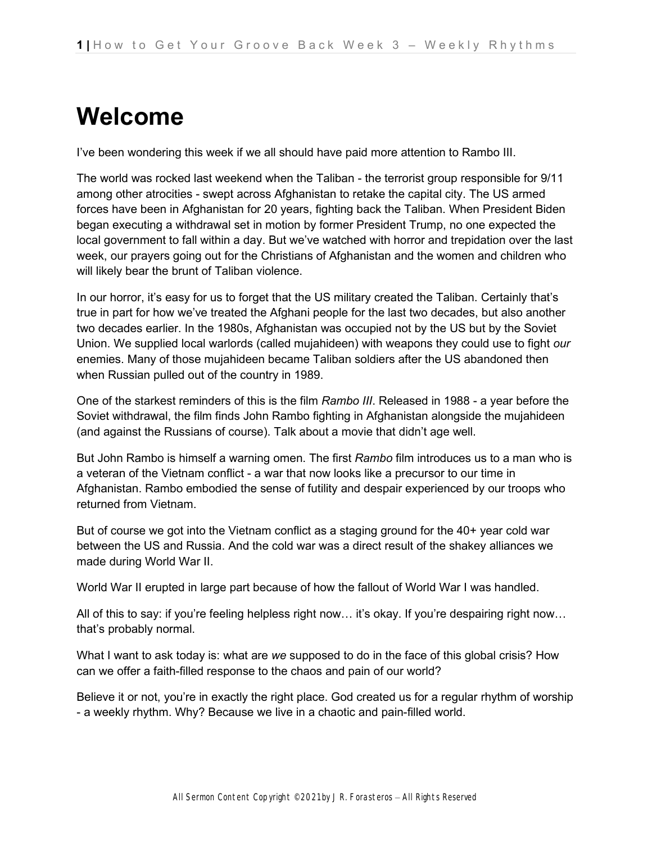## **Welcome**

I've been wondering this week if we all should have paid more attention to Rambo III.

The world was rocked last weekend when the Taliban - the terrorist group responsible for 9/11 among other atrocities - swept across Afghanistan to retake the capital city. The US armed forces have been in Afghanistan for 20 years, fighting back the Taliban. When President Biden began executing a withdrawal set in motion by former President Trump, no one expected the local government to fall within a day. But we've watched with horror and trepidation over the last week, our prayers going out for the Christians of Afghanistan and the women and children who will likely bear the brunt of Taliban violence.

In our horror, it's easy for us to forget that the US military created the Taliban. Certainly that's true in part for how we've treated the Afghani people for the last two decades, but also another two decades earlier. In the 1980s, Afghanistan was occupied not by the US but by the Soviet Union. We supplied local warlords (called mujahideen) with weapons they could use to fight *our*  enemies. Many of those mujahideen became Taliban soldiers after the US abandoned then when Russian pulled out of the country in 1989.

One of the starkest reminders of this is the film *Rambo III*. Released in 1988 - a year before the Soviet withdrawal, the film finds John Rambo fighting in Afghanistan alongside the mujahideen (and against the Russians of course). Talk about a movie that didn't age well.

But John Rambo is himself a warning omen. The first *Rambo* film introduces us to a man who is a veteran of the Vietnam conflict - a war that now looks like a precursor to our time in Afghanistan. Rambo embodied the sense of futility and despair experienced by our troops who returned from Vietnam.

But of course we got into the Vietnam conflict as a staging ground for the 40+ year cold war between the US and Russia. And the cold war was a direct result of the shakey alliances we made during World War II.

World War II erupted in large part because of how the fallout of World War I was handled.

All of this to say: if you're feeling helpless right now… it's okay. If you're despairing right now… that's probably normal.

What I want to ask today is: what are *we* supposed to do in the face of this global crisis? How can we offer a faith-filled response to the chaos and pain of our world?

Believe it or not, you're in exactly the right place. God created us for a regular rhythm of worship - a weekly rhythm. Why? Because we live in a chaotic and pain-filled world.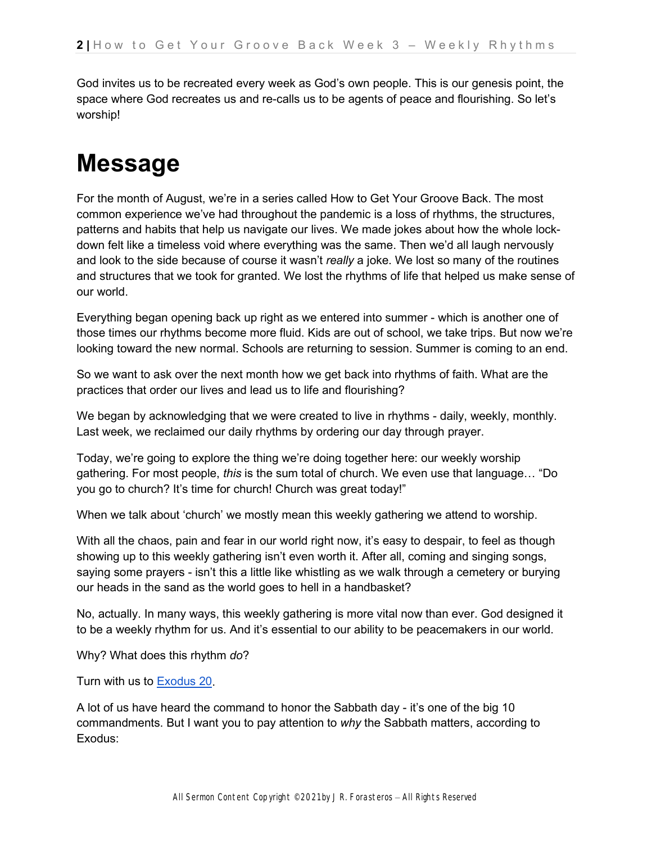God invites us to be recreated every week as God's own people. This is our genesis point, the space where God recreates us and re-calls us to be agents of peace and flourishing. So let's worship!

## **Message**

For the month of August, we're in a series called How to Get Your Groove Back. The most common experience we've had throughout the pandemic is a loss of rhythms, the structures, patterns and habits that help us navigate our lives. We made jokes about how the whole lockdown felt like a timeless void where everything was the same. Then we'd all laugh nervously and look to the side because of course it wasn't *really* a joke. We lost so many of the routines and structures that we took for granted. We lost the rhythms of life that helped us make sense of our world.

Everything began opening back up right as we entered into summer - which is another one of those times our rhythms become more fluid. Kids are out of school, we take trips. But now we're looking toward the new normal. Schools are returning to session. Summer is coming to an end.

So we want to ask over the next month how we get back into rhythms of faith. What are the practices that order our lives and lead us to life and flourishing?

We began by acknowledging that we were created to live in rhythms - daily, weekly, monthly. Last week, we reclaimed our daily rhythms by ordering our day through prayer.

Today, we're going to explore the thing we're doing together here: our weekly worship gathering. For most people, *this* is the sum total of church. We even use that language… "Do you go to church? It's time for church! Church was great today!"

When we talk about 'church' we mostly mean this weekly gathering we attend to worship.

With all the chaos, pain and fear in our world right now, it's easy to despair, to feel as though showing up to this weekly gathering isn't even worth it. After all, coming and singing songs, saying some prayers - isn't this a little like whistling as we walk through a cemetery or burying our heads in the sand as the world goes to hell in a handbasket?

No, actually. In many ways, this weekly gathering is more vital now than ever. God designed it to be a weekly rhythm for us. And it's essential to our ability to be peacemakers in our world.

Why? What does this rhythm *do*?

Turn with us t[o](https://ref.ly/logosref/bible.2.20) [Exodus 20.](https://ref.ly/logosref/bible.2.20)

A lot of us have heard the command to honor the Sabbath day - it's one of the big 10 commandments. But I want you to pay attention to *why* the Sabbath matters, according to Exodus: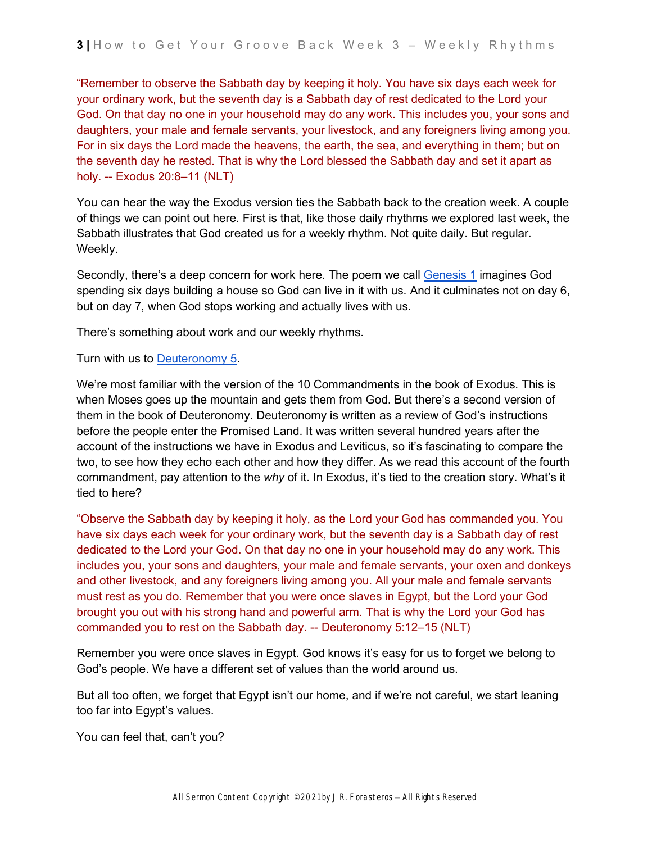"Remember to observe the Sabbath day by keeping it holy. You have six days each week for your ordinary work, but the seventh day is a Sabbath day of rest dedicated to the Lord your God. On that day no one in your household may do any work. This includes you, your sons and daughters, your male and female servants, your livestock, and any foreigners living among you. For in six days the Lord made the heavens, the earth, the sea, and everything in them; but on the seventh day he rested. That is why the Lord blessed the Sabbath day and set it apart as holy. -- Exodus 20:8–11 (NLT)

You can hear the way the Exodus version ties the Sabbath back to the creation week. A couple of things we can point out here. First is that, like those daily rhythms we explored last week, the Sabbath illustrates that God created us for a weekly rhythm. Not quite daily. But regular. Weekly.

Secondly, there's a deep concern for work here. The poem we call [Genesis 1](https://ref.ly/logosref/bible.1.1) imagines God spending six days building a house so God can live in it with us. And it culminates not on day 6, but on day 7, when God stops working and actually lives with us.

There's something about work and our weekly rhythms.

Turn with us t[o](https://ref.ly/logosref/bible.5.5) [Deuteronomy 5.](https://ref.ly/logosref/bible.5.5)

We're most familiar with the version of the 10 Commandments in the book of Exodus. This is when Moses goes up the mountain and gets them from God. But there's a second version of them in the book of Deuteronomy. Deuteronomy is written as a review of God's instructions before the people enter the Promised Land. It was written several hundred years after the account of the instructions we have in Exodus and Leviticus, so it's fascinating to compare the two, to see how they echo each other and how they differ. As we read this account of the fourth commandment, pay attention to the *why* of it. In Exodus, it's tied to the creation story. What's it tied to here?

"Observe the Sabbath day by keeping it holy, as the Lord your God has commanded you. You have six days each week for your ordinary work, but the seventh day is a Sabbath day of rest dedicated to the Lord your God. On that day no one in your household may do any work. This includes you, your sons and daughters, your male and female servants, your oxen and donkeys and other livestock, and any foreigners living among you. All your male and female servants must rest as you do. Remember that you were once slaves in Egypt, but the Lord your God brought you out with his strong hand and powerful arm. That is why the Lord your God has commanded you to rest on the Sabbath day. -- Deuteronomy 5:12–15 (NLT)

Remember you were once slaves in Egypt. God knows it's easy for us to forget we belong to God's people. We have a different set of values than the world around us.

But all too often, we forget that Egypt isn't our home, and if we're not careful, we start leaning too far into Egypt's values.

You can feel that, can't you?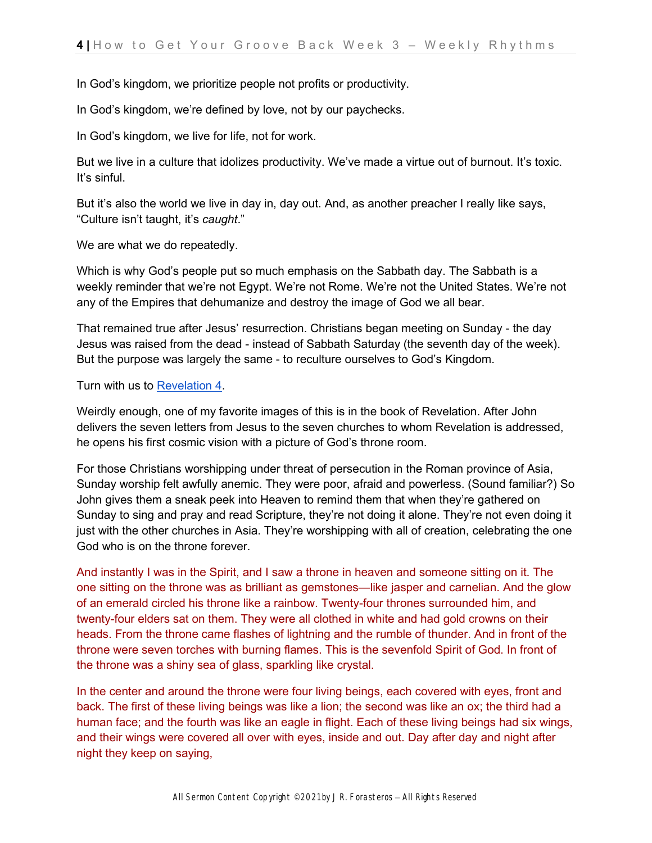In God's kingdom, we prioritize people not profits or productivity.

In God's kingdom, we're defined by love, not by our paychecks.

In God's kingdom, we live for life, not for work.

But we live in a culture that idolizes productivity. We've made a virtue out of burnout. It's toxic. It's sinful.

But it's also the world we live in day in, day out. And, as another preacher I really like says, "Culture isn't taught, it's *caught*."

We are what we do repeatedly.

Which is why God's people put so much emphasis on the Sabbath day. The Sabbath is a weekly reminder that we're not Egypt. We're not Rome. We're not the United States. We're not any of the Empires that dehumanize and destroy the image of God we all bear.

That remained true after Jesus' resurrection. Christians began meeting on Sunday - the day Jesus was raised from the dead - instead of Sabbath Saturday (the seventh day of the week). But the purpose was largely the same - to reculture ourselves to God's Kingdom.

Turn with us t[o](https://ref.ly/logosref/bible.87.4) [Revelation 4.](https://ref.ly/logosref/bible.87.4)

Weirdly enough, one of my favorite images of this is in the book of Revelation. After John delivers the seven letters from Jesus to the seven churches to whom Revelation is addressed, he opens his first cosmic vision with a picture of God's throne room.

For those Christians worshipping under threat of persecution in the Roman province of Asia, Sunday worship felt awfully anemic. They were poor, afraid and powerless. (Sound familiar?) So John gives them a sneak peek into Heaven to remind them that when they're gathered on Sunday to sing and pray and read Scripture, they're not doing it alone. They're not even doing it just with the other churches in Asia. They're worshipping with all of creation, celebrating the one God who is on the throne forever.

And instantly I was in the Spirit, and I saw a throne in heaven and someone sitting on it. The one sitting on the throne was as brilliant as gemstones—like jasper and carnelian. And the glow of an emerald circled his throne like a rainbow. Twenty-four thrones surrounded him, and twenty-four elders sat on them. They were all clothed in white and had gold crowns on their heads. From the throne came flashes of lightning and the rumble of thunder. And in front of the throne were seven torches with burning flames. This is the sevenfold Spirit of God. In front of the throne was a shiny sea of glass, sparkling like crystal.

In the center and around the throne were four living beings, each covered with eyes, front and back. The first of these living beings was like a lion; the second was like an ox; the third had a human face; and the fourth was like an eagle in flight. Each of these living beings had six wings, and their wings were covered all over with eyes, inside and out. Day after day and night after night they keep on saying,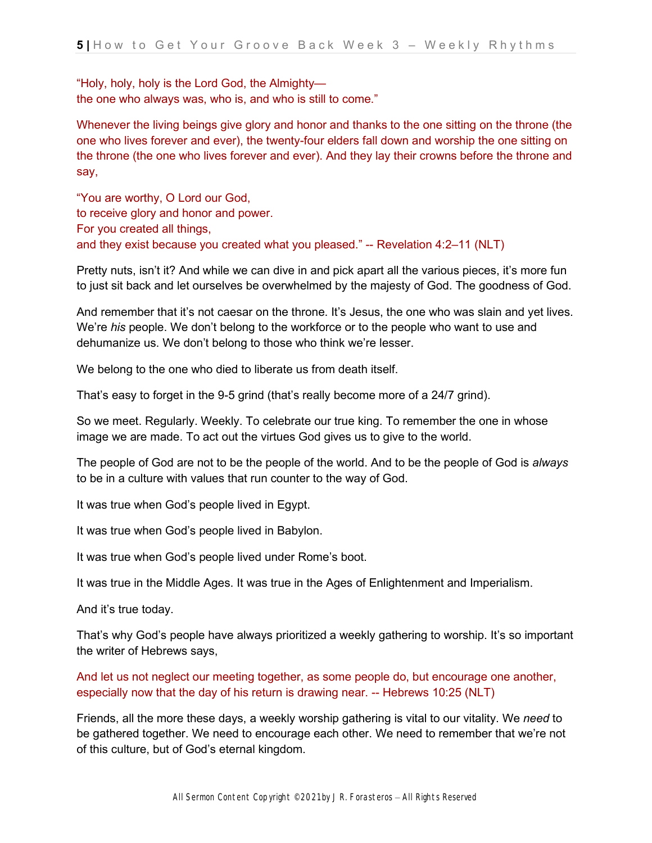"Holy, holy, holy is the Lord God, the Almighty the one who always was, who is, and who is still to come."

Whenever the living beings give glory and honor and thanks to the one sitting on the throne (the one who lives forever and ever), the twenty-four elders fall down and worship the one sitting on the throne (the one who lives forever and ever). And they lay their crowns before the throne and say,

"You are worthy, O Lord our God, to receive glory and honor and power. For you created all things, and they exist because you created what you pleased." -- Revelation 4:2–11 (NLT)

Pretty nuts, isn't it? And while we can dive in and pick apart all the various pieces, it's more fun to just sit back and let ourselves be overwhelmed by the majesty of God. The goodness of God.

And remember that it's not caesar on the throne. It's Jesus, the one who was slain and yet lives. We're *his* people. We don't belong to the workforce or to the people who want to use and dehumanize us. We don't belong to those who think we're lesser.

We belong to the one who died to liberate us from death itself.

That's easy to forget in the 9-5 grind (that's really become more of a 24/7 grind).

So we meet. Regularly. Weekly. To celebrate our true king. To remember the one in whose image we are made. To act out the virtues God gives us to give to the world.

The people of God are not to be the people of the world. And to be the people of God is *always* to be in a culture with values that run counter to the way of God.

It was true when God's people lived in Egypt.

It was true when God's people lived in Babylon.

It was true when God's people lived under Rome's boot.

It was true in the Middle Ages. It was true in the Ages of Enlightenment and Imperialism.

And it's true today.

That's why God's people have always prioritized a weekly gathering to worship. It's so important the writer of Hebrews says,

And let us not neglect our meeting together, as some people do, but encourage one another, especially now that the day of his return is drawing near. -- Hebrews 10:25 (NLT)

Friends, all the more these days, a weekly worship gathering is vital to our vitality. We *need* to be gathered together. We need to encourage each other. We need to remember that we're not of this culture, but of God's eternal kingdom.